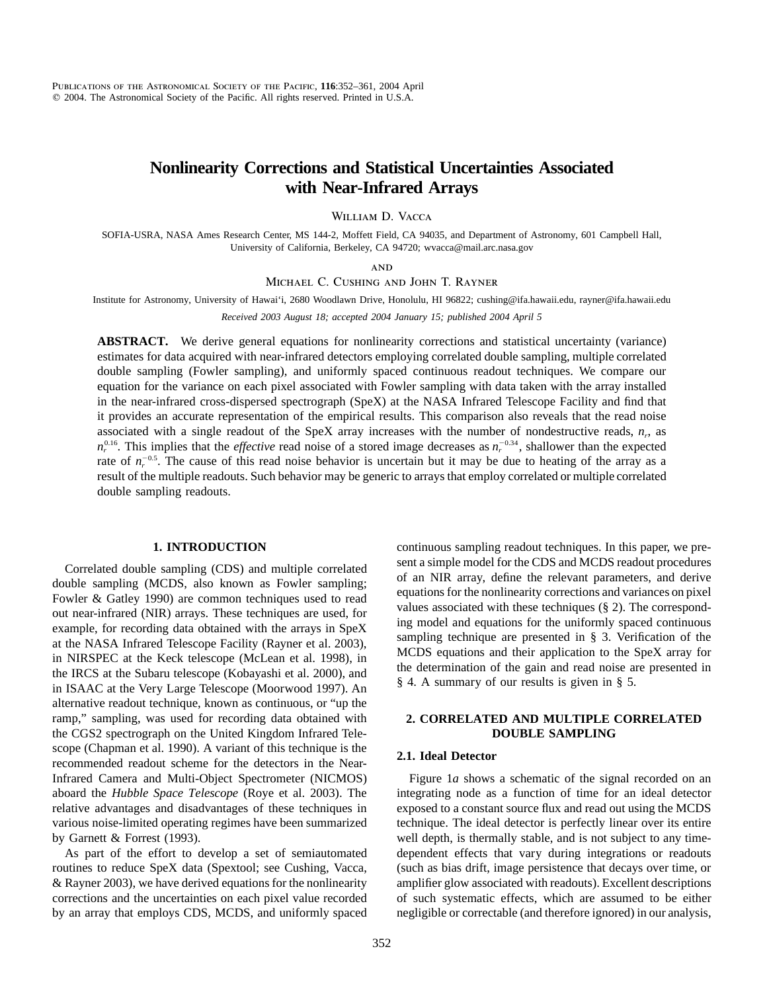# **Nonlinearity Corrections and Statistical Uncertainties Associated with Near-Infrared Arrays**

William D. Vacca

SOFIA-USRA, NASA Ames Research Center, MS 144-2, Moffett Field, CA 94035, and Department of Astronomy, 601 Campbell Hall, University of California, Berkeley, CA 94720; wvacca@mail.arc.nasa.gov

**AND** 

Michael C. Cushing and John T. Rayner

Institute for Astronomy, University of Hawai'i, 2680 Woodlawn Drive, Honolulu, HI 96822; cushing@ifa.hawaii.edu, rayner@ifa.hawaii.edu

*Received 2003 August 18; accepted 2004 January 15; published 2004 April 5*

**ABSTRACT.** We derive general equations for nonlinearity corrections and statistical uncertainty (variance) estimates for data acquired with near-infrared detectors employing correlated double sampling, multiple correlated double sampling (Fowler sampling), and uniformly spaced continuous readout techniques. We compare our equation for the variance on each pixel associated with Fowler sampling with data taken with the array installed in the near-infrared cross-dispersed spectrograph (SpeX) at the NASA Infrared Telescope Facility and find that it provides an accurate representation of the empirical results. This comparison also reveals that the read noise associated with a single readout of the SpeX array increases with the number of nondestructive reads,  $n_r$ , as  $n_r^{0.16}$ . This implies that the *effective* read noise of a stored image decreases as  $n_r^{-0.34}$ , shallower than the expected rate of  $n_r^{-0.5}$ . The cause of this read noise behavior is uncertain but it may be due to heating of the array as a result of the multiple readouts. Such behavior may be generic to arrays that employ correlated or multiple correlated double sampling readouts.

# **1. INTRODUCTION**

Correlated double sampling (CDS) and multiple correlated double sampling (MCDS, also known as Fowler sampling; Fowler & Gatley 1990) are common techniques used to read out near-infrared (NIR) arrays. These techniques are used, for example, for recording data obtained with the arrays in SpeX at the NASA Infrared Telescope Facility (Rayner et al. 2003), in NIRSPEC at the Keck telescope (McLean et al. 1998), in the IRCS at the Subaru telescope (Kobayashi et al. 2000), and in ISAAC at the Very Large Telescope (Moorwood 1997). An alternative readout technique, known as continuous, or "up the ramp," sampling, was used for recording data obtained with the CGS2 spectrograph on the United Kingdom Infrared Telescope (Chapman et al. 1990). A variant of this technique is the recommended readout scheme for the detectors in the Near-Infrared Camera and Multi-Object Spectrometer (NICMOS) aboard the *Hubble Space Telescope* (Roye et al. 2003). The relative advantages and disadvantages of these techniques in various noise-limited operating regimes have been summarized by Garnett & Forrest (1993).

As part of the effort to develop a set of semiautomated routines to reduce SpeX data (Spextool; see Cushing, Vacca, & Rayner 2003), we have derived equations for the nonlinearity corrections and the uncertainties on each pixel value recorded by an array that employs CDS, MCDS, and uniformly spaced continuous sampling readout techniques. In this paper, we present a simple model for the CDS and MCDS readout procedures of an NIR array, define the relevant parameters, and derive equations for the nonlinearity corrections and variances on pixel values associated with these techniques (§ 2). The corresponding model and equations for the uniformly spaced continuous sampling technique are presented in § 3. Verification of the MCDS equations and their application to the SpeX array for the determination of the gain and read noise are presented in § 4. A summary of our results is given in § 5.

# **2. CORRELATED AND MULTIPLE CORRELATED DOUBLE SAMPLING**

# **2.1. Ideal Detector**

Figure 1*a* shows a schematic of the signal recorded on an integrating node as a function of time for an ideal detector exposed to a constant source flux and read out using the MCDS technique. The ideal detector is perfectly linear over its entire well depth, is thermally stable, and is not subject to any timedependent effects that vary during integrations or readouts (such as bias drift, image persistence that decays over time, or amplifier glow associated with readouts). Excellent descriptions of such systematic effects, which are assumed to be either negligible or correctable (and therefore ignored) in our analysis,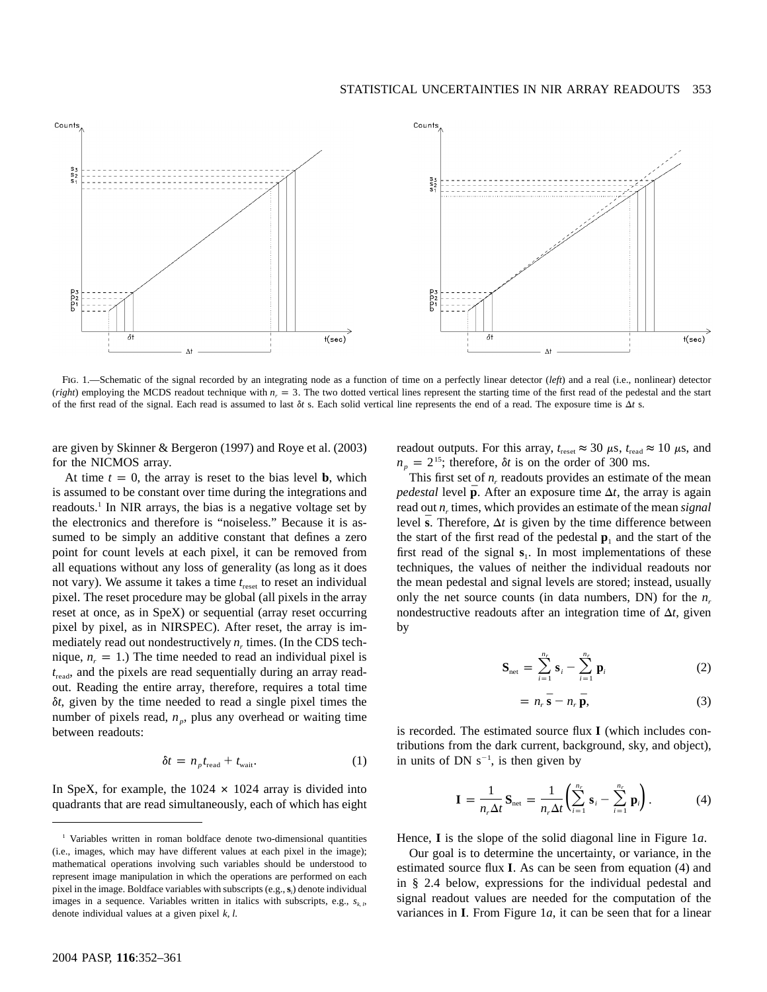

Fig. 1.—Schematic of the signal recorded by an integrating node as a function of time on a perfectly linear detector (*left*) and a real (i.e., nonlinear) detector (*right*) employing the MCDS readout technique with  $n_r = 3$ . The two dotted vertical lines represent the starting time of the first read of the pedestal and the start of the first read of the signal. Each read is assumed to last  $\delta t$  s. Each solid vertical line represents the end of a read. The exposure time is  $\Delta t$  s.

are given by Skinner & Bergeron (1997) and Roye et al. (2003) for the NICMOS array.

At time  $t = 0$ , the array is reset to the bias level **b**, which is assumed to be constant over time during the integrations and readouts.1 In NIR arrays, the bias is a negative voltage set by the electronics and therefore is "noiseless." Because it is assumed to be simply an additive constant that defines a zero point for count levels at each pixel, it can be removed from all equations without any loss of generality (as long as it does not vary). We assume it takes a time  $t_{\text{reset}}$  to reset an individual pixel. The reset procedure may be global (all pixels in the array reset at once, as in SpeX) or sequential (array reset occurring pixel by pixel, as in NIRSPEC). After reset, the array is immediately read out nondestructively  $n_r$  times. (In the CDS technique,  $n_r = 1$ .) The time needed to read an individual pixel is  $t_{\text{read}}$ , and the pixels are read sequentially during an array readout. Reading the entire array, therefore, requires a total time d*t*, given by the time needed to read a single pixel times the number of pixels read,  $n_p$ , plus any overhead or waiting time between readouts:

$$
\delta t = n_p t_{\text{read}} + t_{\text{wait}}.\tag{1}
$$

In SpeX, for example, the  $1024 \times 1024$  array is divided into quadrants that are read simultaneously, each of which has eight readout outputs. For this array,  $t_{\text{reset}} \approx 30 \mu s$ ,  $t_{\text{read}} \approx 10 \mu s$ , and  $n_p = 2^{15}$ ; therefore,  $\delta t$  is on the order of 300 ms.

This first set of  $n_r$  readouts provides an estimate of the mean *pedestal* level  $\bar{p}$ . After an exposure time  $\Delta t$ , the array is again read out  $n_r$  times, which provides an estimate of the mean *signal* level  $\bar{s}$ . Therefore,  $\Delta t$  is given by the time difference between the start of the first read of the pedestal  $\mathbf{p}_1$  and the start of the first read of the signal  $s_1$ . In most implementations of these techniques, the values of neither the individual readouts nor the mean pedestal and signal levels are stored; instead, usually only the net source counts (in data numbers, DN) for the  $n_r$ nondestructive readouts after an integration time of  $\Delta t$ , given by

$$
\mathbf{S}_{\text{net}} = \sum_{i=1}^{n_r} \mathbf{s}_i - \sum_{i=1}^{n_r} \mathbf{p}_i
$$
 (2)

$$
= n_r \bar{\mathbf{s}} - n_r \bar{\mathbf{p}}, \tag{3}
$$

is recorded. The estimated source flux  $I$  (which includes contributions from the dark current, background, sky, and object), in units of DN  $s^{-1}$ , is then given by

$$
\mathbf{I} = \frac{1}{n_r \Delta t} \mathbf{S}_{\text{net}} = \frac{1}{n_r \Delta t} \left( \sum_{i=1}^{n_r} \mathbf{s}_i - \sum_{i=1}^{n_r} \mathbf{p}_i \right).
$$
 (4)

Hence, **I** is the slope of the solid diagonal line in Figure 1a.

Our goal is to determine the uncertainty, or variance, in the estimated source flux **I**. As can be seen from equation (4) and in § 2.4 below, expressions for the individual pedestal and signal readout values are needed for the computation of the variances in **I**. From Figure 1*a*, it can be seen that for a linear

<sup>&</sup>lt;sup>1</sup> Variables written in roman boldface denote two-dimensional quantities (i.e., images, which may have different values at each pixel in the image); mathematical operations involving such variables should be understood to represent image manipulation in which the operations are performed on each pixel in the image. Boldface variables with subscripts (e.g.,  $s_i$ ) denote individual images in a sequence. Variables written in italics with subscripts, e.g.,  $s_{k,l}$ , denote individual values at a given pixel  $k$ ,  $l$ .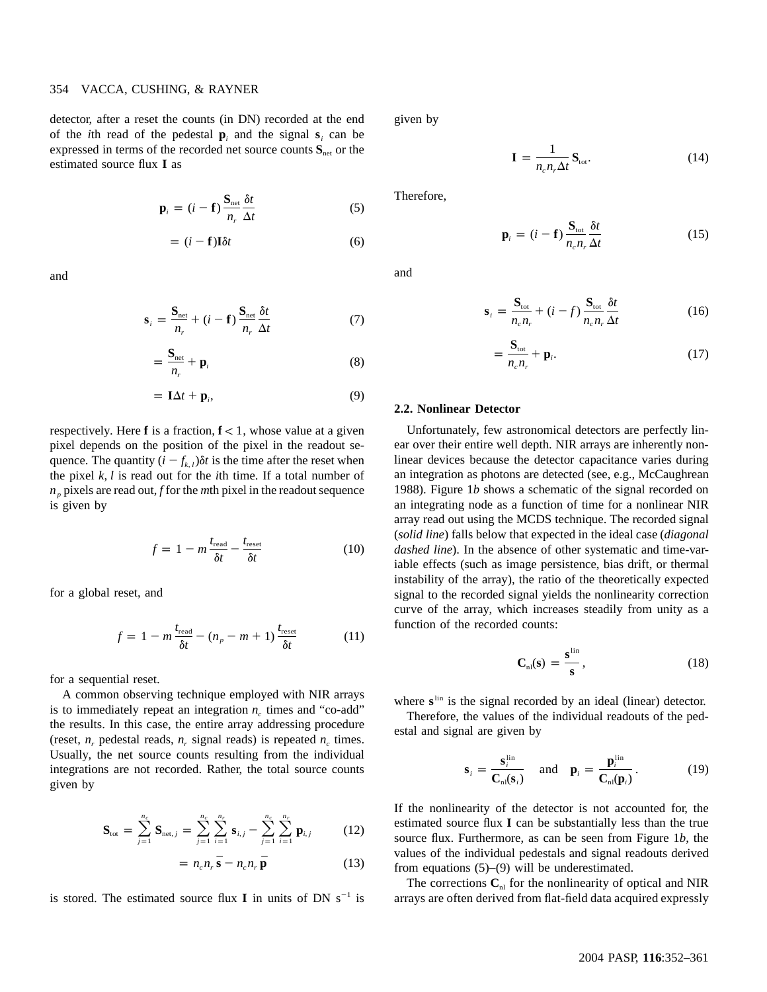# 354 VACCA, CUSHING, & RAYNER

detector, after a reset the counts (in DN) recorded at the end of the *i*th read of the pedestal  $\mathbf{p}_i$  and the signal  $\mathbf{s}_i$  can be expressed in terms of the recorded net source counts  $S<sub>net</sub>$  or the estimated source flux I as

$$
\mathbf{p}_{i} = (i - \mathbf{f}) \frac{\mathbf{S}_{\text{net}}}{n_{r}} \frac{\delta t}{\Delta t}
$$
 (5)

$$
= (i - \mathbf{f}) \mathbf{I} \delta t \tag{6}
$$

and

$$
\mathbf{s}_{i} = \frac{\mathbf{S}_{\text{net}}}{n_{r}} + (i - \mathbf{f}) \frac{\mathbf{S}_{\text{net}}}{n_{r}} \frac{\delta t}{\Delta t}
$$
(7)

$$
=\frac{\mathbf{S}_{\text{net}}}{n_r}+\mathbf{p}_i\tag{8}
$$

$$
= \mathbf{I}\Delta t + \mathbf{p}_i,\tag{9}
$$

respectively. Here **f** is a fraction,  $f < 1$ , whose value at a given pixel depends on the position of the pixel in the readout sequence. The quantity  $(i - f_{k,l})\delta t$  is the time after the reset when the pixel  $k$ ,  $l$  is read out for the *i*th time. If a total number of  $n_p$  pixels are read out, *f* for the *m*th pixel in the readout sequence is given by

$$
f = 1 - m \frac{t_{\text{read}}}{\delta t} - \frac{t_{\text{reset}}}{\delta t} \tag{10}
$$

for a global reset, and

$$
f = 1 - m \frac{t_{\text{read}}}{\delta t} - (n_p - m + 1) \frac{t_{\text{reset}}}{\delta t}
$$
 (11)

for a sequential reset.

A common observing technique employed with NIR arrays is to immediately repeat an integration  $n_c$  times and "co-add" the results. In this case, the entire array addressing procedure (reset,  $n_r$  pedestal reads,  $n_r$  signal reads) is repeated  $n_c$  times. Usually, the net source counts resulting from the individual integrations are not recorded. Rather, the total source counts given by

$$
\mathbf{S}_{\text{tot}} = \sum_{j=1}^{n_c} \mathbf{S}_{\text{net},j} = \sum_{j=1}^{n_c} \sum_{i=1}^{n_r} \mathbf{s}_{i,j} - \sum_{j=1}^{n_c} \sum_{i=1}^{n_r} \mathbf{p}_{i,j} \tag{12}
$$

$$
= n_c n_r \bar{\mathbf{s}} - n_c n_r \bar{\mathbf{p}} \tag{13}
$$

is stored. The estimated source flux I in units of DN  $s^{-1}$  is

given by

$$
\mathbf{I} = \frac{1}{n_c n_r \Delta t} \mathbf{S}_{\text{tot}}.
$$
 (14)

Therefore,

$$
\mathbf{p}_{i} = (i - \mathbf{f}) \frac{\mathbf{S}_{\text{tot}}}{n_{c} n_{r}} \frac{\delta t}{\Delta t}
$$
 (15)

and

$$
\mathbf{s}_{i} = \frac{\mathbf{S}_{\text{tot}}}{n_{c}n_{r}} + (i - f) \frac{\mathbf{S}_{\text{tot}}}{n_{c}n_{r}} \frac{\delta t}{\Delta t}
$$
(16)

$$
=\frac{\mathbf{S}_{\text{tot}}}{n_c n_r}+\mathbf{p}_i.
$$
 (17)

#### **2.2. Nonlinear Detector**

Unfortunately, few astronomical detectors are perfectly linear over their entire well depth. NIR arrays are inherently nonlinear devices because the detector capacitance varies during an integration as photons are detected (see, e.g., McCaughrean 1988). Figure 1*b* shows a schematic of the signal recorded on an integrating node as a function of time for a nonlinear NIR array read out using the MCDS technique. The recorded signal (*solid line*) falls below that expected in the ideal case (*diagonal dashed line*). In the absence of other systematic and time-variable effects (such as image persistence, bias drift, or thermal instability of the array), the ratio of the theoretically expected signal to the recorded signal yields the nonlinearity correction curve of the array, which increases steadily from unity as a function of the recorded counts:

$$
\mathbf{C}_{\mathrm{nl}}(\mathbf{s}) = \frac{\mathbf{s}^{\mathrm{lin}}}{\mathbf{s}},\tag{18}
$$

where s<sup>lin</sup> is the signal recorded by an ideal (linear) detector.

Therefore, the values of the individual readouts of the pedestal and signal are given by

$$
\mathbf{s}_{i} = \frac{\mathbf{s}_{i}^{\text{lin}}}{\mathbf{C}_{\text{nl}}(\mathbf{s}_{i})} \quad \text{and} \quad \mathbf{p}_{i} = \frac{\mathbf{p}_{i}^{\text{lin}}}{\mathbf{C}_{\text{nl}}(\mathbf{p}_{i})}. \tag{19}
$$

If the nonlinearity of the detector is not accounted for, the estimated source flux I can be substantially less than the true source flux. Furthermore, as can be seen from Figure 1*b*, the values of the individual pedestals and signal readouts derived from equations (5)–(9) will be underestimated.

The corrections  $C<sub>nl</sub>$  for the nonlinearity of optical and NIR arrays are often derived from flat-field data acquired expressly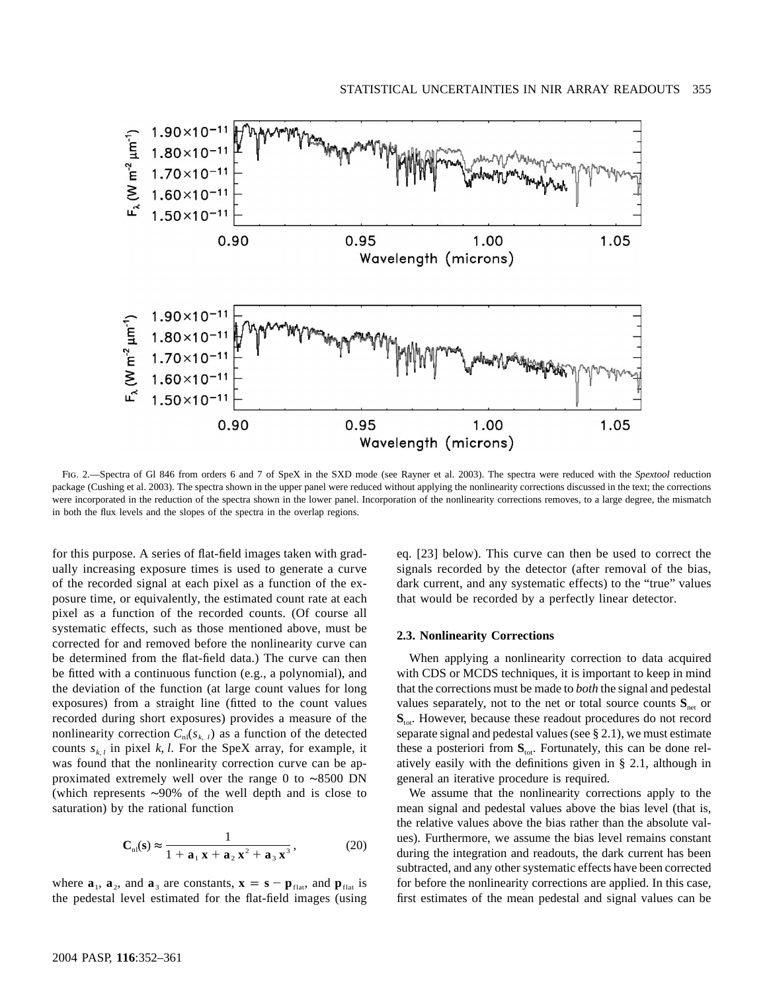

Fig. 2.—Spectra of Gl 846 from orders 6 and 7 of SpeX in the SXD mode (see Rayner et al. 2003). The spectra were reduced with the *Spextool* reduction package (Cushing et al. 2003). The spectra shown in the upper panel were reduced without applying the nonlinearity corrections discussed in the text; the corrections were incorporated in the reduction of the spectra shown in the lower panel. Incorporation of the nonlinearity corrections removes, to a large degree, the mismatch in both the flux levels and the slopes of the spectra in the overlap regions.

for this purpose. A series of flat-field images taken with gradually increasing exposure times is used to generate a curve of the recorded signal at each pixel as a function of the exposure time, or equivalently, the estimated count rate at each pixel as a function of the recorded counts. (Of course all systematic effects, such as those mentioned above, must be corrected for and removed before the nonlinearity curve can be determined from the flat-field data.) The curve can then be fitted with a continuous function (e.g., a polynomial), and the deviation of the function (at large count values for long exposures) from a straight line (fitted to the count values recorded during short exposures) provides a measure of the nonlinearity correction  $C_{\text{nl}}(s_{k, l})$  as a function of the detected counts  $s_{k,l}$  in pixel *k*, *l*. For the SpeX array, for example, it was found that the nonlinearity correction curve can be approximated extremely well over the range 0 to ∼8500 DN (which represents ∼90% of the well depth and is close to saturation) by the rational function

$$
\mathbf{C}_{\rm nl}(\mathbf{s}) \approx \frac{1}{1 + \mathbf{a}_1 \mathbf{x} + \mathbf{a}_2 \mathbf{x}^2 + \mathbf{a}_3 \mathbf{x}^3},\tag{20}
$$

where  $\mathbf{a}_1$ ,  $\mathbf{a}_2$ , and  $\mathbf{a}_3$  are constants,  $\mathbf{x} = \mathbf{s} - \mathbf{p}_{\text{flat}}$ , and  $\mathbf{p}_{\text{flat}}$  is the pedestal level estimated for the flat-field images (using

eq. [23] below). This curve can then be used to correct the signals recorded by the detector (after removal of the bias, dark current, and any systematic effects) to the "true" values that would be recorded by a perfectly linear detector.

### **2.3. Nonlinearity Corrections**

When applying a nonlinearity correction to data acquired with CDS or MCDS techniques, it is important to keep in mind that the corrections must be made to *both* the signal and pedestal values separately, not to the net or total source counts  $S_{\text{net}}$  or  $S<sub>tot</sub>$ . However, because these readout procedures do not record separate signal and pedestal values (see § 2.1), we must estimate these a posteriori from  $S<sub>tot</sub>$ . Fortunately, this can be done relatively easily with the definitions given in § 2.1, although in general an iterative procedure is required.

We assume that the nonlinearity corrections apply to the mean signal and pedestal values above the bias level (that is, the relative values above the bias rather than the absolute values). Furthermore, we assume the bias level remains constant during the integration and readouts, the dark current has been subtracted, and any other systematic effects have been corrected for before the nonlinearity corrections are applied. In this case, first estimates of the mean pedestal and signal values can be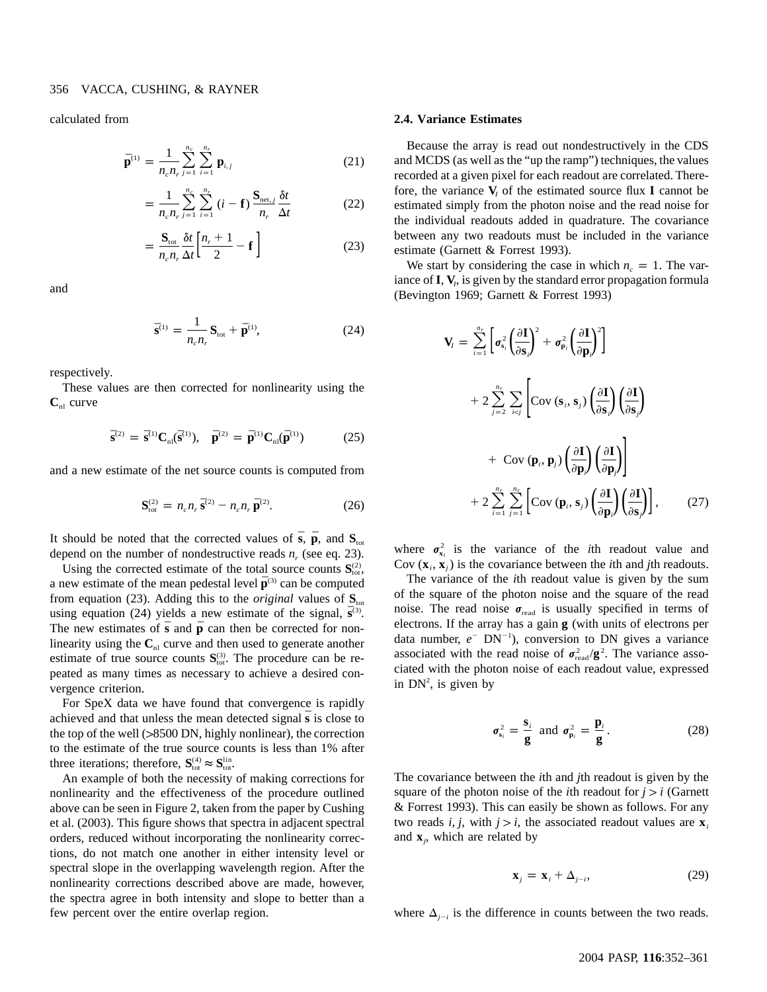calculated from

$$
\bar{\mathbf{p}}^{(1)} = \frac{1}{n_c n_r} \sum_{j=1}^{n_c} \sum_{i=1}^{n_r} \mathbf{p}_{i,j}
$$
 (21)

$$
=\frac{1}{n_c n_r}\sum_{j=1}^{n_c}\sum_{i=1}^{n_r} (i-\mathbf{f})\frac{\mathbf{S}_{\text{net},j}}{n_r}\frac{\delta t}{\Delta t}
$$
(22)

$$
=\frac{\mathbf{S}_{\text{tot}}}{n_c n_r} \frac{\delta t}{\Delta t} \left[ \frac{n_r+1}{2} - \mathbf{f} \right]
$$
 (23)

and

$$
\bar{\mathbf{s}}^{(1)} = \frac{1}{n_c n_r} \mathbf{S}_{\text{tot}} + \bar{\mathbf{p}}^{(1)},\tag{24}
$$

respectively.

These values are then corrected for nonlinearity using the  $C_{nl}$  curve

$$
\bar{\mathbf{s}}^{(2)} = \bar{\mathbf{s}}^{(1)} \mathbf{C}_{nl}(\bar{\mathbf{s}}^{(1)}), \quad \bar{\mathbf{p}}^{(2)} = \bar{\mathbf{p}}^{(1)} \mathbf{C}_{nl}(\bar{\mathbf{p}}^{(1)}) \tag{25}
$$

and a new estimate of the net source counts is computed from

$$
\mathbf{S}_{\text{tot}}^{(2)} = n_c n_r \, \bar{\mathbf{S}}^{(2)} - n_c n_r \, \bar{\mathbf{p}}^{(2)}.\tag{26}
$$

It should be noted that the corrected values of  $\bar{s}$ ,  $\bar{p}$ , and  $S<sub>tot</sub>$ depend on the number of nondestructive reads  $n_r$  (see eq. 23).

Using the corrected estimate of the total source counts  $S_{\text{tot}}^{(2)}$ , a new estimate of the mean pedestal level  $\bar{\mathbf{p}}^{(3)}$  can be computed from equation (23). Adding this to the *original* values of  $S<sub>tot</sub>$ using equation (24) yields a new estimate of the signal,  $\bar{\mathbf{s}}^{(3)}$ . The new estimates of  $\bar{s}$  and  $\bar{p}$  can then be corrected for nonlinearity using the  $C<sub>nl</sub>$  curve and then used to generate another estimate of true source counts  $S_{\text{tot}}^{(3)}$ . The procedure can be repeated as many times as necessary to achieve a desired convergence criterion.

For SpeX data we have found that convergence is rapidly achieved and that unless the mean detected signal  $\bar{s}$  is close to the top of the well  $(>8500$  DN, highly nonlinear), the correction to the estimate of the true source counts is less than 1% after three iterations; therefore,  $S_{\text{tot}}^{(4)} \approx S_{\text{tot}}^{lin}$ .

An example of both the necessity of making corrections for nonlinearity and the effectiveness of the procedure outlined above can be seen in Figure 2, taken from the paper by Cushing et al. (2003). This figure shows that spectra in adjacent spectral orders, reduced without incorporating the nonlinearity corrections, do not match one another in either intensity level or spectral slope in the overlapping wavelength region. After the nonlinearity corrections described above are made, however, the spectra agree in both intensity and slope to better than a few percent over the entire overlap region.

### **2.4. Variance Estimates**

Because the array is read out nondestructively in the CDS and MCDS (as well as the "up the ramp") techniques, the values recorded at a given pixel for each readout are correlated. Therefore, the variance  $V_i$  of the estimated source flux **I** cannot be estimated simply from the photon noise and the read noise for the individual readouts added in quadrature. The covariance between any two readouts must be included in the variance estimate (Garnett & Forrest 1993).

We start by considering the case in which  $n_c = 1$ . The variance of  $I$ ,  $V$ <sub>*i*</sub>, is given by the standard error propagation formula (Bevington 1969; Garnett & Forrest 1993)

$$
\mathbf{V}_{l} = \sum_{i=1}^{n_{r}} \left[ \sigma_{s_{i}}^{2} \left( \frac{\partial \mathbf{I}}{\partial \mathbf{s}_{i}} \right)^{2} + \sigma_{\mathbf{p}_{i}}^{2} \left( \frac{\partial \mathbf{I}}{\partial \mathbf{p}_{i}} \right)^{2} \right]
$$
  
+ 
$$
2 \sum_{j=2}^{n_{r}} \sum_{i < j} \left[ \text{Cov} (\mathbf{s}_{i}, \mathbf{s}_{j}) \left( \frac{\partial \mathbf{I}}{\partial \mathbf{s}_{i}} \right) \left( \frac{\partial \mathbf{I}}{\partial \mathbf{s}_{j}} \right) \right]
$$
  
+ 
$$
\text{Cov} (\mathbf{p}_{i}, \mathbf{p}_{j}) \left( \frac{\partial \mathbf{I}}{\partial \mathbf{p}_{i}} \right) \left( \frac{\partial \mathbf{I}}{\partial \mathbf{p}_{j}} \right)
$$
  
+ 
$$
2 \sum_{i=1}^{n_{r}} \sum_{j=1}^{n_{r}} \left[ \text{Cov} (\mathbf{p}_{i}, \mathbf{s}_{j}) \left( \frac{\partial \mathbf{I}}{\partial \mathbf{p}_{i}} \right) \left( \frac{\partial \mathbf{I}}{\partial \mathbf{s}_{j}} \right) \right], \qquad (27)
$$

where  $\sigma_{x_i}^2$  is the variance of the *i*th readout value and Cov  $(\mathbf{x}_i, \mathbf{x}_j)$  is the covariance between the *i*th and *j*th readouts.

The variance of the *i*th readout value is given by the sum of the square of the photon noise and the square of the read noise. The read noise  $\sigma_{\text{read}}$  is usually specified in terms of electrons. If the array has a gain  $g$  (with units of electrons per data number,  $e^-$  DN<sup>-1</sup>), conversion to DN gives a variance associated with the read noise of  $\sigma_{\text{read}}^2/\mathbf{g}^2$ . The variance associated with the photon noise of each readout value, expressed in  $DN^2$ , is given by

$$
\sigma_{s_i}^2 = \frac{s_i}{g} \text{ and } \sigma_{p_i}^2 = \frac{p_i}{g}.
$$
 (28)

The covariance between the *i*th and *j*th readout is given by the square of the photon noise of the *i*th readout for  $j > i$  (Garnett & Forrest 1993). This can easily be shown as follows. For any two reads *i*, *j*, with  $j > i$ , the associated readout values are  $\mathbf{x}_i$ and  $\mathbf{x}_i$ , which are related by

$$
\mathbf{x}_{j} = \mathbf{x}_{i} + \Delta_{j-i}, \tag{29}
$$

where  $\Delta_{j-i}$  is the difference in counts between the two reads.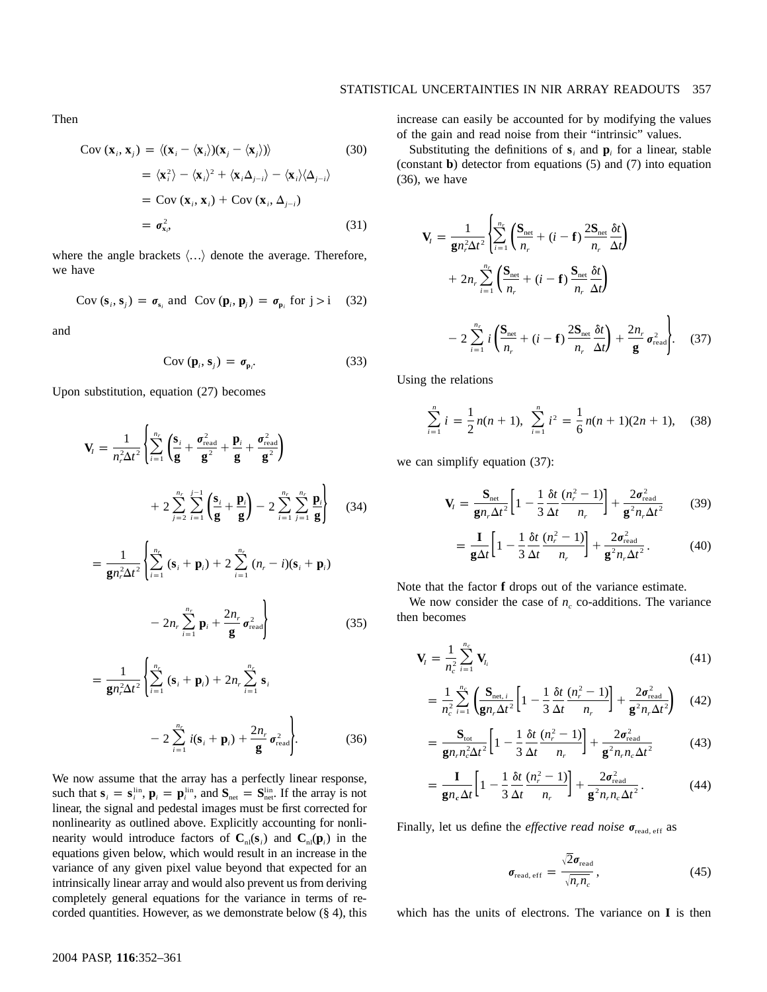Then

$$
Cov(\mathbf{x}_i, \mathbf{x}_j) = \langle (\mathbf{x}_i - \langle \mathbf{x}_i \rangle)(\mathbf{x}_j - \langle \mathbf{x}_j \rangle) \rangle \tag{30}
$$

$$
= \langle \mathbf{x}_i^2 \rangle - \langle \mathbf{x}_i \rangle^2 + \langle \mathbf{x}_i \Delta_{j-i} \rangle - \langle \mathbf{x}_i \rangle \langle \Delta_{j-i} \rangle
$$
  
= Cov (x<sub>i</sub>, x<sub>i</sub>) + Cov (x<sub>i</sub>, \Delta\_{j-i})  
=  $\sigma_{\mathbf{x}_i}^2$ , (31)

where the angle brackets  $\langle \ldots \rangle$  denote the average. Therefore, we have

$$
Cov(si, sj) = \sigma_{si} \text{ and } Cov(\mathbf{p}i, \mathbf{p}j) = \sigma_{\mathbf{p}i} \text{ for } j > i \quad (32)
$$

and

$$
Cov(\mathbf{p}_i, \mathbf{s}_j) = \boldsymbol{\sigma}_{\mathbf{p}_i}.
$$
 (33)

Upon substitution, equation (27) becomes

$$
\mathbf{V}_{i} = \frac{1}{n_{r}^{2} \Delta t^{2}} \left\{ \sum_{i=1}^{n_{r}} \left( \frac{\mathbf{s}_{i}}{\mathbf{g}} + \frac{\sigma_{\text{read}}^{2}}{\mathbf{g}^{2}} + \frac{\mathbf{p}_{i}}{\mathbf{g}} + \frac{\sigma_{\text{read}}^{2}}{\mathbf{g}^{2}} \right) + 2 \sum_{j=2}^{n_{r}} \sum_{i=1}^{n_{r}} \left( \frac{\mathbf{s}_{i}}{\mathbf{g}} + \frac{\mathbf{p}_{i}}{\mathbf{g}} \right) - 2 \sum_{i=1}^{n_{r}} \sum_{j=1}^{n_{r}} \frac{\mathbf{p}_{i}}{\mathbf{g}} \right\}
$$
(34)

$$
= \frac{1}{\mathbf{g}n_r^2\Delta t^2} \left\{ \sum_{i=1}^{n_r} (\mathbf{s}_i + \mathbf{p}_i) + 2 \sum_{i=1}^{n_r} (n_r - i)(\mathbf{s}_i + \mathbf{p}_i) \right\}
$$

$$
-2n_r\sum_{i=1}^{n_r}\mathbf{p}_i+\frac{2n_r}{\mathbf{g}}\sigma_{\text{read}}^2\Bigg\}
$$
 (35)

$$
= \frac{1}{\mathbf{g}n_r^2\Delta t^2} \left\{ \sum_{i=1}^{n_r} (\mathbf{s}_i + \mathbf{p}_i) + 2n_r \sum_{i=1}^{n_r} \mathbf{s}_i - 2 \sum_{i=1}^{n_r} i(\mathbf{s}_i + \mathbf{p}_i) + \frac{2n_r}{\mathbf{g}} \sigma_{\text{read}}^2 \right\}.
$$
 (36)

We now assume that the array has a perfectly linear response, such that  $\mathbf{s}_i = \mathbf{s}_i^{\text{lin}}$ ,  $\mathbf{p}_i = \mathbf{p}_i^{\text{lin}}$ , and  $\mathbf{S}_{\text{net}} = \mathbf{S}_{\text{net}}^{\text{lin}}$ . If the array is not linear, the signal and pedestal images must be first corrected for nonlinearity as outlined above. Explicitly accounting for nonlinearity would introduce factors of  $C_{nl}(s_i)$  and  $C_{nl}(p_i)$  in the equations given below, which would result in an increase in the variance of any given pixel value beyond that expected for an intrinsically linear array and would also prevent us from deriving completely general equations for the variance in terms of recorded quantities. However, as we demonstrate below  $(\S 4)$ , this increase can easily be accounted for by modifying the values of the gain and read noise from their "intrinsic" values.

Substituting the definitions of  $s_i$  and  $p_i$  for a linear, stable (constant **b**) detector from equations  $(5)$  and  $(7)$  into equation (36), we have

$$
\mathbf{V}_{t} = \frac{1}{\mathbf{g}n_{r}^{2}\Delta t^{2}} \left\{ \sum_{i=1}^{n_{r}} \left( \frac{\mathbf{S}_{\text{net}}}{n_{r}} + (i - \mathbf{f}) \frac{2\mathbf{S}_{\text{net}}}{n_{r}} \frac{\delta t}{\Delta t} \right) + 2n_{r} \sum_{i=1}^{n_{r}} \left( \frac{\mathbf{S}_{\text{net}}}{n_{r}} + (i - \mathbf{f}) \frac{\mathbf{S}_{\text{net}}}{n_{r}} \frac{\delta t}{\Delta t} \right) - 2 \sum_{i=1}^{n_{r}} i \left( \frac{\mathbf{S}_{\text{net}}}{n_{r}} + (i - \mathbf{f}) \frac{2\mathbf{S}_{\text{net}}}{n_{r}} \frac{\delta t}{\Delta t} \right) + \frac{2n_{r}}{\mathbf{g}} \sigma_{\text{read}}^{2} \right\}.
$$
 (37)

Using the relations

$$
\sum_{i=1}^{n} i = \frac{1}{2} n(n+1), \sum_{i=1}^{n} i^{2} = \frac{1}{6} n(n+1)(2n+1), \quad (38)
$$

we can simplify equation (37):

$$
\mathbf{V}_{I} = \frac{\mathbf{S}_{\text{net}}}{\mathbf{g}n_{r}\Delta t^{2}} \left[ 1 - \frac{1}{3} \frac{\delta t}{\Delta t} \frac{(n_{r}^{2} - 1)}{n_{r}} \right] + \frac{2\sigma_{\text{read}}^{2}}{\mathbf{g}^{2}n_{r}\Delta t^{2}}
$$
(39)

$$
= \frac{\mathbf{I}}{\mathbf{g}\Delta t} \left[ 1 - \frac{1}{3} \frac{\delta t}{\Delta t} \frac{(n_r^2 - 1)}{n_r} \right] + \frac{2\sigma_{\text{read}}^2}{\mathbf{g}^2 n_r \Delta t^2}.
$$
 (40)

Note that the factor **f** drops out of the variance estimate.

We now consider the case of  $n_c$  co-additions. The variance then becomes

$$
\mathbf{V}_{I} = \frac{1}{n_{c}^{2}} \sum_{i=1}^{n_{c}} \mathbf{V}_{I_{i}}
$$
(41)

$$
= \frac{1}{n_c^2} \sum_{i=1}^{n_c} \left( \frac{\mathbf{S}_{\text{net},i}}{\mathbf{g} n_r \Delta t^2} \left[ 1 - \frac{1}{3} \frac{\delta t}{\Delta t} \frac{(n_r^2 - 1)}{n_r} \right] + \frac{2 \sigma_{\text{read}}^2}{\mathbf{g}^2 n_r \Delta t^2} \right) \tag{42}
$$

$$
=\frac{\mathbf{S}_{\text{tot}}}{\mathbf{g}n_r n_c^2 \Delta t^2} \bigg[1 - \frac{1}{3} \frac{\delta t}{\Delta t} \frac{(n_r^2 - 1)}{n_r}\bigg] + \frac{2\sigma_{\text{read}}^2}{\mathbf{g}^2 n_r n_c \Delta t^2} \tag{43}
$$

$$
=\frac{\mathbf{I}}{\mathbf{g}n_c\Delta t}\bigg[1-\frac{1}{3}\frac{\delta t}{\Delta t}\frac{(n_r^2-1)}{n_r}\bigg]+\frac{2\sigma_{\text{read}}^2}{\mathbf{g}^2n_r n_c\Delta t^2}.\tag{44}
$$

Finally, let us define the *effective read noise*  $\sigma_{\text{read, eff}}$  as

$$
\sigma_{\text{read, eff}} = \frac{\sqrt{2}\sigma_{\text{read}}}{\sqrt{n_r n_c}},
$$
\n(45)

which has the units of electrons. The variance on  $\bf{I}$  is then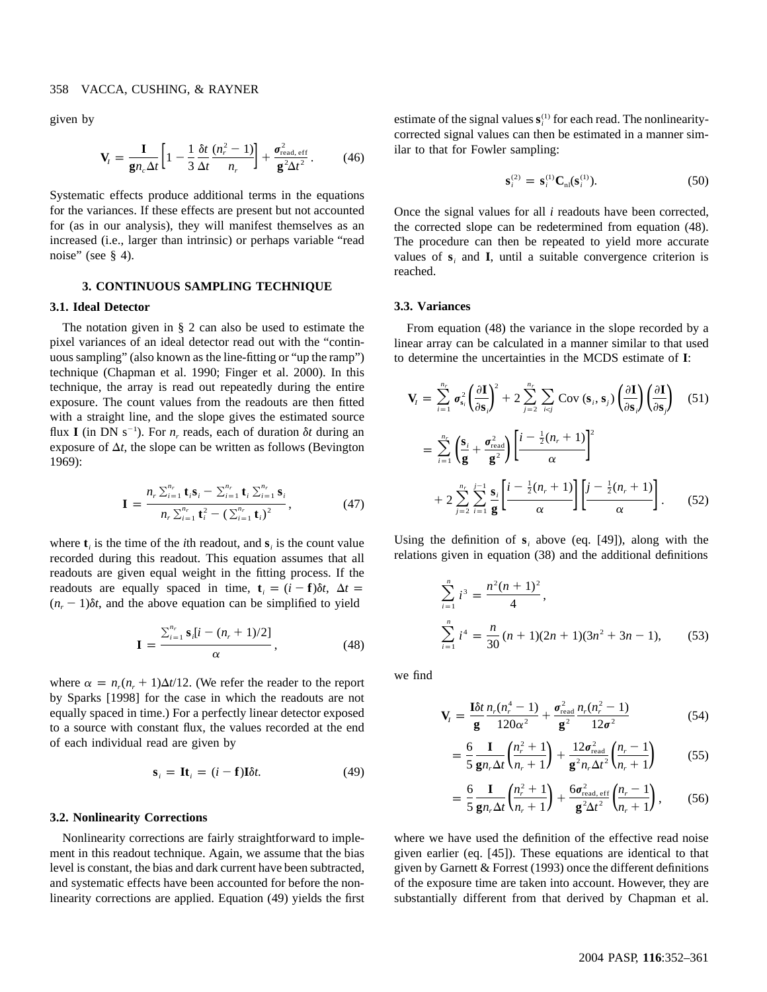given by

$$
\mathbf{V}_{I} = \frac{\mathbf{I}}{\mathbf{g}n_{c}\Delta t} \left[ 1 - \frac{1}{3} \frac{\delta t}{\Delta t} \frac{(n_{r}^{2} - 1)}{n_{r}} \right] + \frac{\sigma_{\text{read, eff}}^{2}}{\mathbf{g}^{2} \Delta t^{2}}.
$$
 (46)

Systematic effects produce additional terms in the equations for the variances. If these effects are present but not accounted for (as in our analysis), they will manifest themselves as an increased (i.e., larger than intrinsic) or perhaps variable "read noise" (see § 4).

# **3. CONTINUOUS SAMPLING TECHNIQUE**

#### **3.1. Ideal Detector**

The notation given in § 2 can also be used to estimate the pixel variances of an ideal detector read out with the "continuous sampling" (also known as the line-fitting or "up the ramp") technique (Chapman et al. 1990; Finger et al. 2000). In this technique, the array is read out repeatedly during the entire exposure. The count values from the readouts are then fitted with a straight line, and the slope gives the estimated source flux **I** (in DN s<sup>-1</sup>). For *n<sub>r</sub>* reads, each of duration  $\delta t$  during an exposure of  $\Delta t$ , the slope can be written as follows (Bevington 1969):

$$
\mathbf{I} = \frac{n_r \sum_{i=1}^{n_r} \mathbf{t}_i \mathbf{s}_i - \sum_{i=1}^{n_r} \mathbf{t}_i \sum_{i=1}^{n_r} \mathbf{s}_i}{n_r \sum_{i=1}^{n_r} \mathbf{t}_i^2 - (\sum_{i=1}^{n_r} \mathbf{t}_i)^2},
$$
(47)

where  $\mathbf{t}_i$  is the time of the *i*th readout, and  $\mathbf{s}_i$  is the count value recorded during this readout. This equation assumes that all readouts are given equal weight in the fitting process. If the readouts are equally spaced in time,  $\mathbf{t}_i = (i - \mathbf{f})\delta t$ ,  $\Delta t =$  $(n_r - 1)\delta t$ , and the above equation can be simplified to yield

$$
\mathbf{I} = \frac{\sum_{i=1}^{n_r} \mathbf{s}_i [i - (n_r + 1)/2]}{\alpha}, \qquad (48)
$$

where  $\alpha = n_r(n_r + 1)\Delta t/12$ . (We refer the reader to the report by Sparks [1998] for the case in which the readouts are not equally spaced in time.) For a perfectly linear detector exposed to a source with constant flux, the values recorded at the end of each individual read are given by

$$
\mathbf{s}_i = \mathbf{It}_i = (i - \mathbf{f})\mathbf{I}\delta t. \tag{49}
$$

# **3.2. Nonlinearity Corrections**

Nonlinearity corrections are fairly straightforward to implement in this readout technique. Again, we assume that the bias level is constant, the bias and dark current have been subtracted, and systematic effects have been accounted for before the nonlinearity corrections are applied. Equation (49) yields the first estimate of the signal values  $s_i^{(1)}$  for each read. The nonlinearitycorrected signal values can then be estimated in a manner similar to that for Fowler sampling:

$$
\mathbf{s}_{i}^{(2)} = \mathbf{s}_{i}^{(1)} \mathbf{C}_{nl}(\mathbf{s}_{i}^{(1)}).
$$
 (50)

Once the signal values for all *i* readouts have been corrected, the corrected slope can be redetermined from equation (48). The procedure can then be repeated to yield more accurate values of  $s_i$  and  $I$ , until a suitable convergence criterion is reached.

#### **3.3. Variances**

From equation (48) the variance in the slope recorded by a linear array can be calculated in a manner similar to that used to determine the uncertainties in the MCDS estimate of I:

$$
\mathbf{V}_{I} = \sum_{i=1}^{n_{r}} \sigma_{s_{i}}^{2} \left(\frac{\partial \mathbf{I}}{\partial \mathbf{s}_{i}}\right)^{2} + 2 \sum_{j=2}^{n_{r}} \sum_{i < j} \text{Cov }(\mathbf{s}_{i}, \mathbf{s}_{j}) \left(\frac{\partial \mathbf{I}}{\partial \mathbf{s}_{j}}\right) \left(\frac{\partial \mathbf{I}}{\partial \mathbf{s}_{j}}\right)
$$
(51)  

$$
= \sum_{i=1}^{n_{r}} \left(\frac{\mathbf{s}_{i}}{\mathbf{g}} + \frac{\sigma_{\text{read}}^{2}}{\mathbf{g}^{2}}\right) \left[\frac{i - \frac{1}{2}(n_{r} + 1)}{\alpha}\right]^{2}
$$

$$
+ 2 \sum_{j=2}^{n_{r}} \sum_{i=1}^{j-1} \frac{\mathbf{s}_{i}}{\mathbf{g}} \left[\frac{i - \frac{1}{2}(n_{r} + 1)}{\alpha}\right] \left[\frac{j - \frac{1}{2}(n_{r} + 1)}{\alpha}\right].
$$
(52)

Using the definition of  $s_i$ , above (eq. [49]), along with the relations given in equation (38) and the additional definitions

$$
\sum_{i=1}^{n} i^{3} = \frac{n^{2}(n+1)^{2}}{4},
$$
\n
$$
\sum_{i=1}^{n} i^{4} = \frac{n}{30}(n+1)(2n+1)(3n^{2}+3n-1),
$$
\n(53)

we find

$$
\mathbf{V}_{I} = \frac{\mathbf{I}\delta t}{\mathbf{g}} \frac{n_{r}(n_{r}^{4} - 1)}{120\alpha^{2}} + \frac{\sigma_{\text{read}}^{2}}{\mathbf{g}^{2}} \frac{n_{r}(n_{r}^{2} - 1)}{12\sigma^{2}}
$$
(54)

$$
= \frac{6}{5} \frac{I}{g n_r \Delta t} \left( \frac{n_r^2 + 1}{n_r + 1} \right) + \frac{12 \sigma_{\text{read}}^2}{g^2 n_r \Delta t^2} \left( \frac{n_r - 1}{n_r + 1} \right) \tag{55}
$$

$$
= \frac{6}{5} \frac{I}{g n_r \Delta t} \left( \frac{n_r^2 + 1}{n_r + 1} \right) + \frac{6 \sigma_{\text{read, eff}}^2}{g^2 \Delta t^2} \left( \frac{n_r - 1}{n_r + 1} \right), \tag{56}
$$

where we have used the definition of the effective read noise given earlier (eq. [45]). These equations are identical to that given by Garnett & Forrest (1993) once the different definitions of the exposure time are taken into account. However, they are substantially different from that derived by Chapman et al.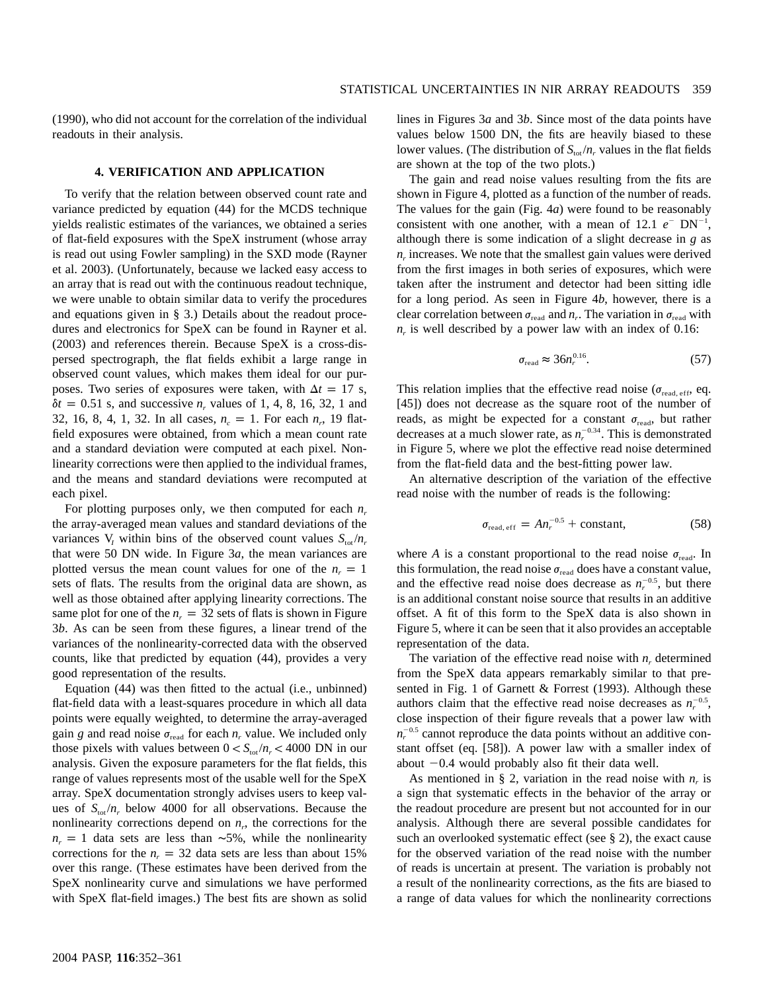(1990), who did not account for the correlation of the individual readouts in their analysis.

### **4. VERIFICATION AND APPLICATION**

To verify that the relation between observed count rate and variance predicted by equation (44) for the MCDS technique yields realistic estimates of the variances, we obtained a series of flat-field exposures with the SpeX instrument (whose array is read out using Fowler sampling) in the SXD mode (Rayner et al. 2003). (Unfortunately, because we lacked easy access to an array that is read out with the continuous readout technique, we were unable to obtain similar data to verify the procedures and equations given in § 3.) Details about the readout procedures and electronics for SpeX can be found in Rayner et al. (2003) and references therein. Because SpeX is a cross-dispersed spectrograph, the flat fields exhibit a large range in observed count values, which makes them ideal for our purposes. Two series of exposures were taken, with  $\Delta t = 17$  s,  $\delta t = 0.51$  s, and successive  $n_r$  values of 1, 4, 8, 16, 32, 1 and 32, 16, 8, 4, 1, 32. In all cases,  $n_e = 1$ . For each  $n_r$ , 19 flatfield exposures were obtained, from which a mean count rate and a standard deviation were computed at each pixel. Nonlinearity corrections were then applied to the individual frames, and the means and standard deviations were recomputed at each pixel.

For plotting purposes only, we then computed for each  $n_r$ the array-averaged mean values and standard deviations of the variances V<sub>I</sub> within bins of the observed count values  $S_{\text{tot}}/n_r$ that were 50 DN wide. In Figure 3*a*, the mean variances are plotted versus the mean count values for one of the  $n_r = 1$ sets of flats. The results from the original data are shown, as well as those obtained after applying linearity corrections. The same plot for one of the  $n_r = 32$  sets of flats is shown in Figure 3*b*. As can be seen from these figures, a linear trend of the variances of the nonlinearity-corrected data with the observed counts, like that predicted by equation (44), provides a very good representation of the results.

Equation (44) was then fitted to the actual (i.e., unbinned) flat-field data with a least-squares procedure in which all data points were equally weighted, to determine the array-averaged gain *g* and read noise  $\sigma_{\text{read}}$  for each *n<sub>r</sub>* value. We included only those pixels with values between  $0 < S_{\text{tot}}/n_r < 4000 \text{ DN in our}$ analysis. Given the exposure parameters for the flat fields, this range of values represents most of the usable well for the SpeX array. SpeX documentation strongly advises users to keep values of  $S_{\text{tot}}/n_r$  below 4000 for all observations. Because the nonlinearity corrections depend on  $n_r$ , the corrections for the  $n_r = 1$  data sets are less than ∼5%, while the nonlinearity corrections for the  $n_r = 32$  data sets are less than about 15% over this range. (These estimates have been derived from the SpeX nonlinearity curve and simulations we have performed with SpeX flat-field images.) The best fits are shown as solid lines in Figures 3*a* and 3*b*. Since most of the data points have values below 1500 DN, the fits are heavily biased to these lower values. (The distribution of  $S_{tot}/n_r$  values in the flat fields are shown at the top of the two plots.)

The gain and read noise values resulting from the fits are shown in Figure 4, plotted as a function of the number of reads. The values for the gain (Fig. 4*a*) were found to be reasonably consistent with one another, with a mean of 12.1  $e^-$  DN<sup>-1</sup>, although there is some indication of a slight decrease in *g* as  $n_r$  increases. We note that the smallest gain values were derived from the first images in both series of exposures, which were taken after the instrument and detector had been sitting idle for a long period. As seen in Figure 4*b*, however, there is a clear correlation between  $\sigma_{\text{read}}$  and  $n_r$ . The variation in  $\sigma_{\text{read}}$  with  $n_r$  is well described by a power law with an index of 0.16:

$$
\sigma_{\text{read}} \approx 36n_r^{0.16}.\tag{57}
$$

This relation implies that the effective read noise ( $\sigma_{\rm read, eff}$ , eq. [45]) does not decrease as the square root of the number of reads, as might be expected for a constant  $\sigma_{\text{read}}$ , but rather decreases at a much slower rate, as  $n_r^{-0.34}$ . This is demonstrated in Figure 5, where we plot the effective read noise determined from the flat-field data and the best-fitting power law.

An alternative description of the variation of the effective read noise with the number of reads is the following:

$$
\sigma_{\text{read, eff}} = A n_r^{-0.5} + \text{constant},\tag{58}
$$

where *A* is a constant proportional to the read noise  $\sigma_{\text{read}}$ . In this formulation, the read noise  $\sigma_{\text{read}}$  does have a constant value, and the effective read noise does decrease as  $n_r^{-0.5}$ , but there is an additional constant noise source that results in an additive offset. A fit of this form to the SpeX data is also shown in Figure 5, where it can be seen that it also provides an acceptable representation of the data.

The variation of the effective read noise with  $n<sub>r</sub>$  determined from the SpeX data appears remarkably similar to that presented in Fig. 1 of Garnett & Forrest (1993). Although these authors claim that the effective read noise decreases as  $n_r^{-0.5}$ , close inspection of their figure reveals that a power law with  $n_r^{-0.5}$  cannot reproduce the data points without an additive constant offset (eq. [58]). A power law with a smaller index of about  $-0.4$  would probably also fit their data well.

As mentioned in § 2, variation in the read noise with  $n_r$  is a sign that systematic effects in the behavior of the array or the readout procedure are present but not accounted for in our analysis. Although there are several possible candidates for such an overlooked systematic effect (see § 2), the exact cause for the observed variation of the read noise with the number of reads is uncertain at present. The variation is probably not a result of the nonlinearity corrections, as the fits are biased to a range of data values for which the nonlinearity corrections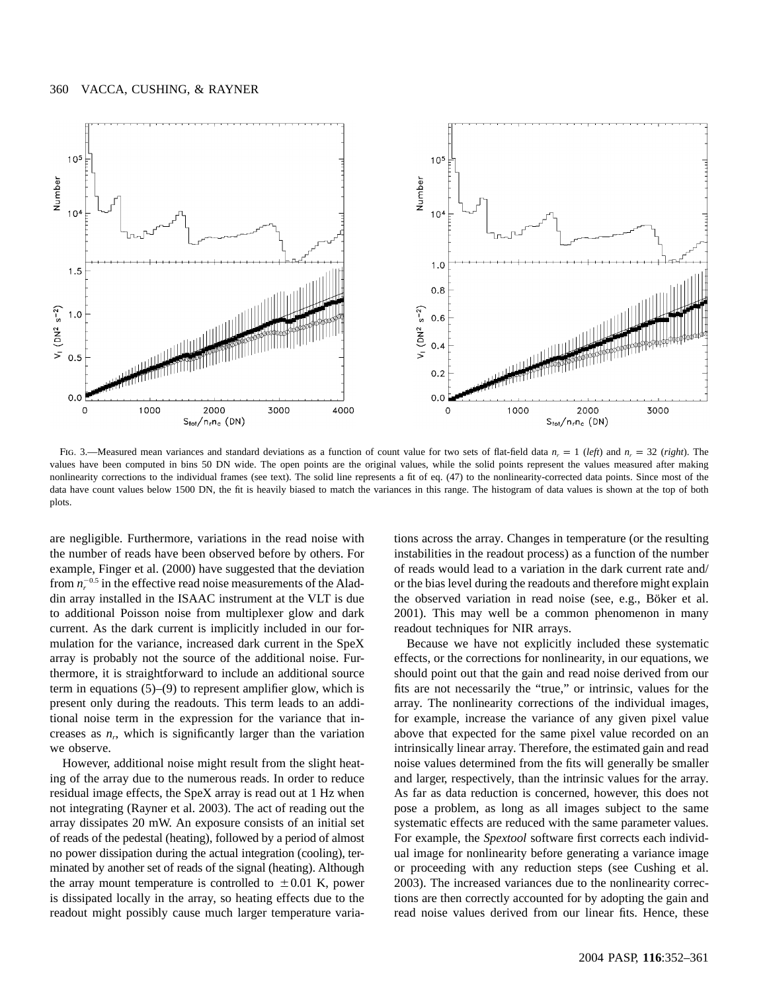

Fig. 3.—Measured mean variances and standard deviations as a function of count value for two sets of flat-field data  $n_r = 1$  *(left)* and  $n_r = 32$  *(right)*. The values have been computed in bins 50 DN wide. The open points are the original values, while the solid points represent the values measured after making nonlinearity corrections to the individual frames (see text). The solid line represents a fit of eq. (47) to the nonlinearity-corrected data points. Since most of the data have count values below 1500 DN, the fit is heavily biased to match the variances in this range. The histogram of data values is shown at the top of both plots.

are negligible. Furthermore, variations in the read noise with the number of reads have been observed before by others. For example, Finger et al. (2000) have suggested that the deviation from  $n_r^{-0.5}$  in the effective read noise measurements of the Aladdin array installed in the ISAAC instrument at the VLT is due to additional Poisson noise from multiplexer glow and dark current. As the dark current is implicitly included in our formulation for the variance, increased dark current in the SpeX array is probably not the source of the additional noise. Furthermore, it is straightforward to include an additional source term in equations (5)–(9) to represent amplifier glow, which is present only during the readouts. This term leads to an additional noise term in the expression for the variance that increases as  $n_r$ , which is significantly larger than the variation we observe.

However, additional noise might result from the slight heating of the array due to the numerous reads. In order to reduce residual image effects, the SpeX array is read out at 1 Hz when not integrating (Rayner et al. 2003). The act of reading out the array dissipates 20 mW. An exposure consists of an initial set of reads of the pedestal (heating), followed by a period of almost no power dissipation during the actual integration (cooling), terminated by another set of reads of the signal (heating). Although the array mount temperature is controlled to  $\pm 0.01$  K, power is dissipated locally in the array, so heating effects due to the readout might possibly cause much larger temperature variations across the array. Changes in temperature (or the resulting instabilities in the readout process) as a function of the number of reads would lead to a variation in the dark current rate and/ or the bias level during the readouts and therefore might explain the observed variation in read noise (see, e.g., Böker et al. 2001). This may well be a common phenomenon in many readout techniques for NIR arrays.

Because we have not explicitly included these systematic effects, or the corrections for nonlinearity, in our equations, we should point out that the gain and read noise derived from our fits are not necessarily the "true," or intrinsic, values for the array. The nonlinearity corrections of the individual images, for example, increase the variance of any given pixel value above that expected for the same pixel value recorded on an intrinsically linear array. Therefore, the estimated gain and read noise values determined from the fits will generally be smaller and larger, respectively, than the intrinsic values for the array. As far as data reduction is concerned, however, this does not pose a problem, as long as all images subject to the same systematic effects are reduced with the same parameter values. For example, the *Spextool* software first corrects each individual image for nonlinearity before generating a variance image or proceeding with any reduction steps (see Cushing et al. 2003). The increased variances due to the nonlinearity corrections are then correctly accounted for by adopting the gain and read noise values derived from our linear fits. Hence, these